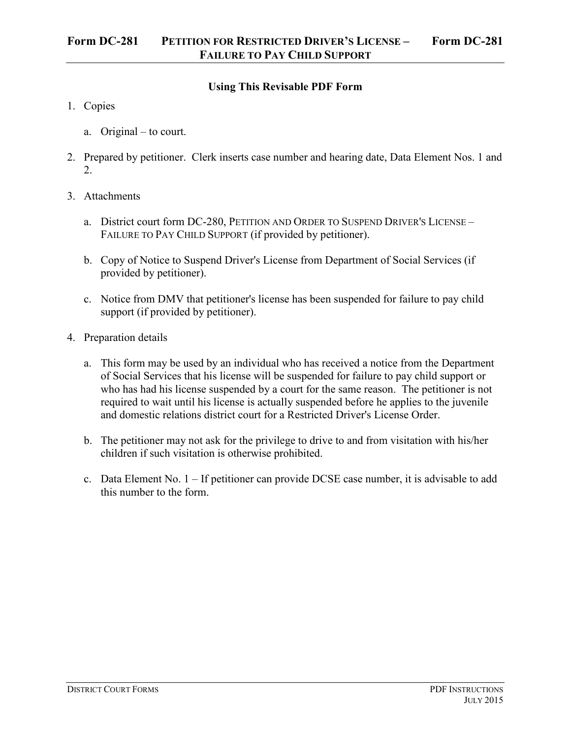## **Using This Revisable PDF Form**

- 1. Copies
	- a. Original to court.
- 2. Prepared by petitioner. Clerk inserts case number and hearing date, Data Element Nos. 1 and 2.
- 3. Attachments
	- a. District court form DC-280, PETITION AND ORDER TO SUSPEND DRIVER'S LICENSE FAILURE TO PAY CHILD SUPPORT (if provided by petitioner).
	- b. Copy of Notice to Suspend Driver's License from Department of Social Services (if provided by petitioner).
	- c. Notice from DMV that petitioner's license has been suspended for failure to pay child support (if provided by petitioner).
- 4. Preparation details
	- a. This form may be used by an individual who has received a notice from the Department of Social Services that his license will be suspended for failure to pay child support or who has had his license suspended by a court for the same reason. The petitioner is not required to wait until his license is actually suspended before he applies to the juvenile and domestic relations district court for a Restricted Driver's License Order.
	- b. The petitioner may not ask for the privilege to drive to and from visitation with his/her children if such visitation is otherwise prohibited.
	- c. Data Element No. 1 If petitioner can provide DCSE case number, it is advisable to add this number to the form.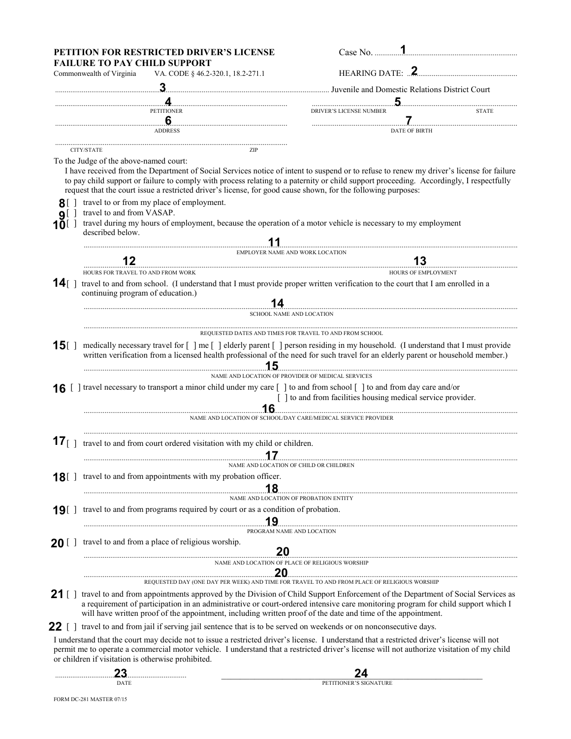| <b>FAILURE TO PAY CHILD SUPPORT</b>                                                                                  | PETITION FOR RESTRICTED DRIVER'S LICENSE                                                                      | Case No.                                                                                                                                                                                                                                                                                                                                                                          |              |
|----------------------------------------------------------------------------------------------------------------------|---------------------------------------------------------------------------------------------------------------|-----------------------------------------------------------------------------------------------------------------------------------------------------------------------------------------------------------------------------------------------------------------------------------------------------------------------------------------------------------------------------------|--------------|
| Commonwealth of Virginia                                                                                             | VA. CODE § 46.2-320.1, 18.2-271.1                                                                             |                                                                                                                                                                                                                                                                                                                                                                                   |              |
|                                                                                                                      |                                                                                                               |                                                                                                                                                                                                                                                                                                                                                                                   |              |
|                                                                                                                      |                                                                                                               |                                                                                                                                                                                                                                                                                                                                                                                   |              |
|                                                                                                                      | PETITIONER                                                                                                    | 5<br><b>DRIVER'S LICENSE NUMBER</b>                                                                                                                                                                                                                                                                                                                                               | <b>STATE</b> |
|                                                                                                                      | 6                                                                                                             |                                                                                                                                                                                                                                                                                                                                                                                   |              |
|                                                                                                                      | <b>ADDRESS</b>                                                                                                | <b>DATE OF BIRTH</b>                                                                                                                                                                                                                                                                                                                                                              |              |
| CITY/STATE                                                                                                           |                                                                                                               |                                                                                                                                                                                                                                                                                                                                                                                   |              |
| To the Judge of the above-named court:                                                                               | request that the court issue a restricted driver's license, for good cause shown, for the following purposes: | I have received from the Department of Social Services notice of intent to suspend or to refuse to renew my driver's license for failure<br>to pay child support or failure to comply with process relating to a paternity or child support proceeding. Accordingly, I respectfully                                                                                               |              |
| <b>8</b> [ ] travel to or from my place of employment.<br>travel to and from VASAP.<br>9 <sup>[1]</sup><br>$10^{[]}$ |                                                                                                               | travel during my hours of employment, because the operation of a motor vehicle is necessary to my employment                                                                                                                                                                                                                                                                      |              |
| described below.                                                                                                     |                                                                                                               |                                                                                                                                                                                                                                                                                                                                                                                   |              |
|                                                                                                                      |                                                                                                               | EMPLOYER NAME AND WORK LOCATION                                                                                                                                                                                                                                                                                                                                                   |              |
| 12                                                                                                                   |                                                                                                               | 13                                                                                                                                                                                                                                                                                                                                                                                |              |
| HOURS FOR TRAVEL TO AND FROM WORK                                                                                    |                                                                                                               | HOURS OF EMPLOYMENT                                                                                                                                                                                                                                                                                                                                                               |              |
| 14 $\lceil$ 1                                                                                                        |                                                                                                               | travel to and from school. (I understand that I must provide proper written verification to the court that I am enrolled in a                                                                                                                                                                                                                                                     |              |
| continuing program of education.)                                                                                    | 14                                                                                                            |                                                                                                                                                                                                                                                                                                                                                                                   |              |
|                                                                                                                      |                                                                                                               | <b>SCHOOL NAME AND LOCATION</b>                                                                                                                                                                                                                                                                                                                                                   |              |
|                                                                                                                      |                                                                                                               |                                                                                                                                                                                                                                                                                                                                                                                   |              |
|                                                                                                                      |                                                                                                               | REQUESTED DATES AND TIMES FOR TRAVEL TO AND FROM SCHOOL                                                                                                                                                                                                                                                                                                                           |              |
| $15$ [ ]                                                                                                             | 15                                                                                                            | medically necessary travel for [] me [] elderly parent [] person residing in my household. (I understand that I must provide<br>written verification from a licensed health professional of the need for such travel for an elderly parent or household member.)                                                                                                                  |              |
|                                                                                                                      |                                                                                                               | NAME AND LOCATION OF PROVIDER OF MEDICAL SERVICES                                                                                                                                                                                                                                                                                                                                 |              |
|                                                                                                                      | 16                                                                                                            | 16 [ ] travel necessary to transport a minor child under my care [ ] to and from school [ ] to and from day care and/or<br>[ ] to and from facilities housing medical service provider.                                                                                                                                                                                           |              |
|                                                                                                                      |                                                                                                               | NAME AND LOCATION OF SCHOOL/DAY CARE/MEDICAL SERVICE PROVIDER                                                                                                                                                                                                                                                                                                                     |              |
| 17 <sub>[1]</sub>                                                                                                    | travel to and from court ordered visitation with my child or children.<br>17                                  |                                                                                                                                                                                                                                                                                                                                                                                   |              |
|                                                                                                                      |                                                                                                               | NAME AND LOCATION OF CHILD OR CHILDREN                                                                                                                                                                                                                                                                                                                                            |              |
|                                                                                                                      | 18[] travel to and from appointments with my probation officer.<br>18                                         |                                                                                                                                                                                                                                                                                                                                                                                   |              |
|                                                                                                                      |                                                                                                               | NAME AND LOCATION OF PROBATION ENTITY                                                                                                                                                                                                                                                                                                                                             |              |
| $19$ [ ]                                                                                                             | travel to and from programs required by court or as a condition of probation.                                 |                                                                                                                                                                                                                                                                                                                                                                                   |              |
|                                                                                                                      | 19                                                                                                            |                                                                                                                                                                                                                                                                                                                                                                                   |              |
|                                                                                                                      |                                                                                                               | PROGRAM NAME AND LOCATION                                                                                                                                                                                                                                                                                                                                                         |              |
| $20$ [ ]                                                                                                             | travel to and from a place of religious worship.                                                              |                                                                                                                                                                                                                                                                                                                                                                                   |              |
|                                                                                                                      | 20                                                                                                            | NAME AND LOCATION OF PLACE OF RELIGIOUS WORSHIP                                                                                                                                                                                                                                                                                                                                   |              |
|                                                                                                                      | 20                                                                                                            |                                                                                                                                                                                                                                                                                                                                                                                   |              |
|                                                                                                                      |                                                                                                               | REQUESTED DAY (ONE DAY PER WEEK) AND TIME FOR TRAVEL TO AND FROM PLACE OF RELIGIOUS WORSHIP                                                                                                                                                                                                                                                                                       |              |
| $21 \mid$                                                                                                            |                                                                                                               | travel to and from appointments approved by the Division of Child Support Enforcement of the Department of Social Services as<br>a requirement of participation in an administrative or court-ordered intensive care monitoring program for child support which I<br>will have written proof of the appointment, including written proof of the date and time of the appointment. |              |
| 22 $\Box$                                                                                                            |                                                                                                               | travel to and from jail if serving jail sentence that is to be served on weekends or on nonconsecutive days.                                                                                                                                                                                                                                                                      |              |
|                                                                                                                      |                                                                                                               | I understand that the court may decide not to issue a restricted driver's license. I understand that a restricted driver's license will not<br>permit me to operate a commercial motor vehicle. I understand that a restricted driver's license will not authorize visitation of my child                                                                                         |              |
| or children if visitation is otherwise prohibited.                                                                   |                                                                                                               |                                                                                                                                                                                                                                                                                                                                                                                   |              |